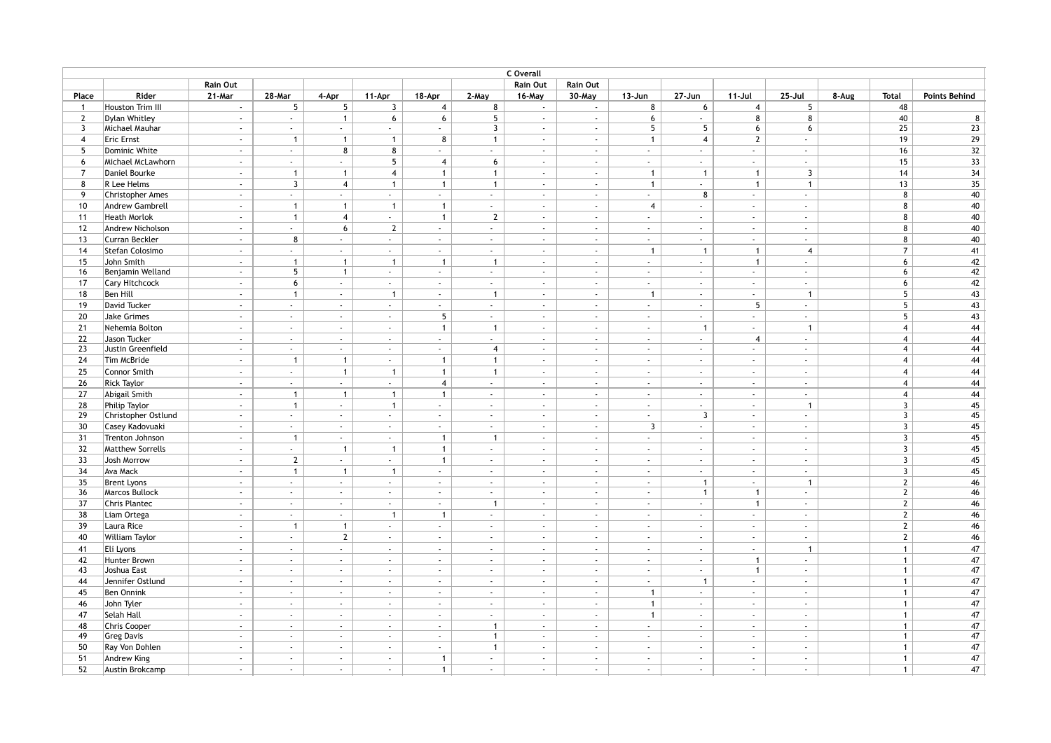| C Overall               |                         |                             |                 |                             |                          |                |                             |                             |                             |                             |                             |                             |                             |       |                |                      |
|-------------------------|-------------------------|-----------------------------|-----------------|-----------------------------|--------------------------|----------------|-----------------------------|-----------------------------|-----------------------------|-----------------------------|-----------------------------|-----------------------------|-----------------------------|-------|----------------|----------------------|
|                         |                         | Rain Out                    |                 |                             |                          |                |                             | Rain Out                    | Rain Out                    |                             |                             |                             |                             |       |                |                      |
| Place                   | Rider                   | 21-Mar                      | 28-Mar          | 4-Apr                       | 11-Apr                   | 18-Apr         | 2-May                       | 16-May                      | 30-May                      | $13 - Jun$                  | $27 - Jun$                  | $11-Jul$                    | $25 -$ Jul                  | 8-Aug | <b>Total</b>   | <b>Points Behind</b> |
| $\overline{1}$          | Houston Trim III        | $\sim$                      | 5               | 5                           | $\overline{3}$           | $\overline{4}$ | 8                           | $\sim$                      | $\sim$                      | 8                           | 6                           | $\overline{4}$              | 5                           |       | 48             |                      |
| $\overline{2}$          | Dylan Whitley           | ÷.                          | $\sim$          | $\mathbf{1}$                | 6                        | 6              | 5                           | ÷.                          | ÷.                          | 6                           | $\mathcal{L}$               | 8                           | 8                           |       | 40             | 8                    |
| $\overline{\mathbf{3}}$ | Michael Mauhar          | $\sim$                      | $\sim$          | $\sim$                      | $\sim$                   | $\sim$         | $\overline{3}$              | $\sim$                      | $\sim$                      | 5                           | 5                           | 6                           | 6                           |       | 25             | 23                   |
| $\overline{4}$          | <b>Eric Ernst</b>       | $\sim$                      | $\overline{1}$  | $\overline{1}$              | $\mathbf{1}$             | 8              | $\mathbf{1}$                | $\sim$                      | $\sim$                      | $\mathbf{1}$                | $\overline{4}$              | $\overline{2}$              | $\sim$                      |       | 19             | 29                   |
| 5                       | Dominic White           | $\mathcal{L}_{\mathcal{A}}$ | $\sim$          | 8                           | 8                        |                | $\sim$                      | $\mathcal{L}$               | ÷.                          | $\mathcal{L}$               | $\sim$                      | $\blacksquare$              | $\mathcal{L}$               |       | 16             | $32\,$               |
| 6                       | Michael McLawhorn       | $\sim$                      | $\sim$          | $\sim$                      | 5 <sup>5</sup>           | $\overline{4}$ | 6                           | $\sim$                      | $\sim$                      | $\sim$                      | $\sim$                      | $\sim$                      | $\sim$                      |       | 15             | 33                   |
| $\overline{7}$          | Daniel Bourke           | $\mathcal{L}_{\mathcal{A}}$ | $\mathbf{1}$    | $\mathbf{1}$                | $\overline{4}$           | $\mathbf{1}$   | $\overline{1}$              | $\sim$                      | $\mathcal{L}_{\mathcal{A}}$ | $\mathbf{1}$                | $\mathbf{1}$                | $\mathbf{1}$                | $\overline{\mathbf{3}}$     |       | 14             | 34                   |
| 8                       | R Lee Helms             | $\sim$                      | $\mathbf{3}$    | $\overline{4}$              | $\mathbf{1}$             | $\mathbf{1}$   | $\mathbf{1}$                | $\sim$                      | $\sim$                      | $\mathbf{1}$                | $\sim$                      | $\mathbf{1}$                | $\mathbf{1}$                |       | 13             | 35                   |
| 9                       | <b>Christopher Ames</b> | $\mathcal{L}_{\mathcal{A}}$ | $\sim$          | $\mathcal{L}_{\mathcal{A}}$ | $\sim$                   | $\sim$         | $\sim$                      | $\mathcal{L}_{\mathcal{A}}$ | $\mathcal{L}$               | $\mathcal{L}$               | 8                           | $\blacksquare$              | $\sim$                      |       | 8              | 40                   |
| 10                      | Andrew Gambrell         | $\sim$                      | $\mathbf{1}$    | $\mathbf{1}$                | $\overline{1}$           | $\mathbf{1}$   | $\sim$                      | $\sim$                      | $\sim$                      | $\overline{4}$              | $\sim$                      | $\sim$                      | $\sim$                      |       | 8              | 40                   |
| 11                      | <b>Heath Morlok</b>     | $\sim$                      | $\mathbf{1}$    | $\overline{4}$              | $\sim$                   | $\mathbf{1}$   | $\overline{2}$              | $\sim$                      | $\sim$                      | $\sim$                      | $\sim$                      | $\sim$                      | $\sim$                      |       | 8              | 40                   |
| 12                      | Andrew Nicholson        | $\sim$                      | $\sim$          | 6                           | $\overline{2}$           | $\sim$         | $\sim$                      | $\mathcal{L}$               | $\sim$                      | $\mathcal{L}$               | $\mathcal{L}$               | $\sim$                      | $\sim$                      |       | 8              | 40                   |
| 13                      | Curran Beckler          | $\mathcal{L}$               | 8               | $\sim$                      | $\sim$                   | $\sim$         | $\sim$                      | $\sim$                      | $\sim$                      | $\mathcal{L}$               | $\sim$                      | $\sim$                      | $\sim$                      |       | 8              | 40                   |
| 14                      | Stefan Colosimo         | $\mathcal{L}_{\mathcal{A}}$ | $\sim$          | $\mathcal{L}_{\mathcal{A}}$ | $\sim$                   | $\sim$         | $\mathcal{L}$               | $\sim$                      | ÷.                          | $\mathbf{1}$                | $\mathbf{1}$                | $\mathbf{1}$                | $\overline{4}$              |       | $\overline{7}$ | 41                   |
| 15                      | John Smith              | $\mathcal{L}_{\mathcal{A}}$ | $\mathbf{1}$    | $\overline{1}$              | $\overline{1}$           | $\mathbf{1}$   | $\mathbf{1}$                | $\sim$                      | $\sim$                      | $\sim$                      | $\sim$                      | $\mathbf{1}$                | $\sim$                      |       | 6              | 42                   |
| 16                      | Benjamin Welland        | $\mathcal{L}_{\mathcal{A}}$ | 5 <sub>5</sub>  | $\mathbf{1}$                | $\sim$                   | $\sim$         | $\mathcal{L}_{\mathcal{A}}$ | $\mathcal{L}_{\mathcal{A}}$ | $\mathcal{L}_{\mathcal{A}}$ | $\mathcal{L}$               | $\sim$                      | $\mathbb{Z}^2$              | $\mathcal{L}^{\mathcal{L}}$ |       | 6              | 42                   |
| 17                      | Cary Hitchcock          | $\mathcal{L}$               | $6\overline{6}$ | $\sim$                      | $\sim$                   | $\sim$         | $\sim$                      | $\mathcal{L}$               | $\mathcal{L}$               | $\sim$                      | $\sim$                      | $\sim$                      | $\sim$                      |       | 6              | 42                   |
| 18                      | Ben Hill                | $\sim$                      | $\mathbf{1}$    | $\sim$                      | $\overline{1}$           | $\sim$         | $\mathbf{1}$                | $\sim$                      | $\sim$                      | $\mathbf{1}$                | $\sim$                      | $\sim$                      | $\mathbf{1}$                |       | 5              | 43                   |
| 19                      | David Tucker            | $\mathcal{L}$               | $\sim$          | $\mathbf{r}$                | $\sim$                   | ÷.             | $\mathcal{L}_{\mathcal{A}}$ | ÷.                          | $\sim$                      | ÷.                          | ÷.                          | $5\phantom{.0}$             | ÷.                          |       | 5              | 43                   |
| 20                      | Jake Grimes             | $\mathcal{L}$               | $\sim$          | $\sim$                      | $\sim$                   | 5              | $\sim$                      | $\sim$                      | $\mathcal{L}_{\mathcal{A}}$ | $\sim$                      | $\sim$                      | $\sim$                      | $\sim$                      |       | 5              | 43                   |
| 21                      | Nehemia Bolton          | $\sim$                      | $\sim$          | $\sim$                      | $\sim$                   | $\mathbf{1}$   | $\overline{1}$              | $\sim$                      | $\mathcal{L}_{\mathcal{A}}$ | $\sim$                      | $\mathbf{1}$                | $\sim$                      | $\mathbf{1}$                |       | $\overline{4}$ | 44                   |
| 22                      | Jason Tucker            | $\sim$                      | $\sim$          | $\sim$                      | $\sim$                   | $\sim$         | $\sim$                      | $\sim$                      | $\sim$                      | $\sim$                      | $\sim$                      | $\overline{4}$              | $\sim$                      |       | $\overline{4}$ | 44                   |
| 23                      | Justin Greenfield       | $\mathcal{L}$               | $\sim$          | $\mathbf{r}$                | $\sim$                   | $\sim$         | $\overline{4}$              | $\mathcal{L}$               | $\mathcal{L}$               | $\sim$                      | $\sim$                      | $\sim$                      | $\sim$                      |       | $\overline{4}$ | 44                   |
| 24                      | Tim McBride             | $\mathcal{L}_{\mathcal{A}}$ | $\mathbf{1}$    | $\mathbf{1}$                | $\sim$                   | $\mathbf{1}$   | $\mathbf{1}$                | $\mathcal{L}$               | $\sim$                      | $\sim$                      | $\sim$                      | $\sim$                      | $\sim$                      |       | $\overline{4}$ | 44                   |
| 25                      | Connor Smith            | $\sim$                      | $\sim$          | $\mathbf{1}$                | $\mathbf{1}$             | $\mathbf{1}$   | $\mathbf{1}$                | $\sim$                      | $\sim$                      | $\sim$                      | $\sim$                      | $\sim$                      | $\sim$                      |       | $\overline{4}$ | 44                   |
| 26                      | <b>Rick Taylor</b>      | $\mathcal{L}_{\mathcal{A}}$ | $\sim$          | $\sim$                      | $\sim$                   | $\overline{4}$ | $\sim$                      | $\sim$                      | $\sim$                      | ÷.                          | $\sim$                      | $\blacksquare$              | $\blacksquare$              |       | $\overline{4}$ | 44                   |
| 27                      | Abigail Smith           | $\mathcal{L}_{\mathcal{A}}$ | $\mathbf{1}$    | $\mathbf{1}$                | $\mathbf{1}$             | $\mathbf{1}$   | $\sim$                      | $\sim$                      | $\sim$                      | $\sim$                      | $\sim$                      | $\sim$                      | $\sim$                      |       | $\overline{4}$ | 44                   |
| 28                      | <b>Philip Taylor</b>    | $\mathcal{L}$               | $\mathbf{1}$    | $\sim$                      | $\mathbf{1}$             | $\sim$         | $\sim$                      | $\mathcal{L}_{\mathcal{A}}$ | $\mathcal{L}_{\mathcal{A}}$ | $\sim$                      | $\sim$                      | $\sim$                      | $\mathbf{1}$                |       | $\overline{3}$ | 45                   |
| 29                      | Christopher Ostlund     | $\mathcal{L}_{\mathcal{A}}$ | $\sim$          | $\sim$                      | $\sim$                   | $\sim$         | $\mathcal{L}_{\mathcal{A}}$ | $\mathcal{L}$               | ÷.                          | $\mathcal{L}$               | $\overline{3}$              | $\blacksquare$              | $\sim$                      |       | 3              | 45                   |
| 30                      | Casey Kadovuaki         | $\mathcal{L}$               | $\sim$          | $\sim$                      | $\sim$                   | $\sim$         | $\sim$                      | $\mathcal{L}$               | $\mathcal{L}_{\mathcal{A}}$ | $\overline{3}$              | $\sim$                      | $\mathcal{L}$               | $\sim$                      |       | 3              | 45                   |
| 31                      | Trenton Johnson         | $\mathcal{L}_{\mathcal{A}}$ | $\mathbf{1}$    | $\sim$                      | $\sim$                   | $\mathbf{1}$   | $\mathbf{1}$                | $\sim$                      | $\sim$                      | ÷.                          | $\sim$                      | $\sim$                      | $\mathcal{L}_{\mathcal{A}}$ |       | $\overline{3}$ | 45                   |
| 32                      | <b>Matthew Sorrells</b> | $\sim$                      | $\sim$          | $\overline{1}$              | $\overline{1}$           | $\mathbf{1}$   | $\sim$                      | $\sim$                      | $\sim$                      | $\sim$                      | $\sim$                      | $\sim$                      | $\sim$                      |       | $\mathbf{3}$   | 45                   |
| 33                      | Josh Morrow             | $\mathcal{L}_{\mathcal{A}}$ | $\overline{2}$  | $\mathcal{L}$               | $\sim$                   | $\mathbf{1}$   | $\mathcal{L}$               | $\mathcal{L}$               | ÷.                          | $\mathcal{L}$               | $\mathcal{L}$               | $\mathcal{L}$               | $\mathcal{L}$               |       | $\overline{3}$ | 45                   |
| 34                      | Ava Mack                | $\sim$                      | $\mathbf{1}$    | $\mathbf{1}$                | $\overline{1}$           | $\sim$         | $\sim$                      | $\sim$                      | $\sim$                      | $\sim$                      | $\sim$                      | $\sim$                      | $\sim$                      |       | $\overline{3}$ | 45                   |
| 35                      | <b>Brent Lyons</b>      | $\mathcal{L}_{\mathcal{A}}$ | $\sim$          | $\epsilon$                  | $\sim$                   | $\sim$         | $\sim$                      | $\mathcal{L}$               | ÷.                          | $\sim$                      | $\mathbf{1}$                | $\mathcal{L}$               | $\mathbf{1}$                |       | $\mathbf{2}$   | 46                   |
| 36                      | Marcos Bullock          | $\mathcal{L}_{\mathcal{A}}$ | $\sim$          | $\epsilon$                  | $\sim$                   | $\sim$         | $\mathbb{Z}^+$              | ÷.                          | $\mathcal{L}_{\mathcal{A}}$ | $\mathcal{L}_{\mathcal{A}}$ | $\mathbf{1}$                | $\mathbf{1}$                | $\sim$                      |       | $\mathbf{2}$   | 46                   |
| 37                      | Chris Plantec           | $\mathcal{L}$               | $\sim$          | $\sim$                      | $\sim$                   | $\sim$         | $\mathbf{1}$                | $\mathcal{L}$               | $\mathcal{L}_{\mathcal{A}}$ | $\mathcal{L}$               | $\sim$                      | $\mathbf{1}$                | $\sim$                      |       | $\mathbf{2}$   | 46                   |
| 38                      | Liam Ortega             | $\sim$                      | $\sim$          | $\sim$                      | $\overline{1}$           | $\mathbf{1}$   | $\sim$                      | $\sim$                      | $\sim$                      | $\sim$                      | $\sim$                      | $\sim$                      | $\sim$                      |       | $\mathbf{2}$   | 46                   |
| 39                      | Laura Rice              | $\sim$                      | $\overline{1}$  | $\overline{1}$              | $\sim$                   | $\sim$         | $\sim$                      | $\sim$                      | $\sim$                      | $\sim$                      | $\sim$                      | $\sim$                      | $\sim$                      |       | $\mathbf{2}$   | 46                   |
| 40                      | William Taylor          | $\mathcal{L}$               | $\sim$          | $\overline{2}$              | $\sim$                   | $\sim$         | $\mathcal{L}$               | ÷.                          | ÷.                          | $\sim$                      | $\sim$                      | $\mathcal{L}$               | $\mathcal{L}$               |       | $\mathbf{2}$   | 46                   |
| 41                      | Eli Lyons               | $\mathcal{L}$               | $\sim$          | ×.                          | $\sim$                   | $\sim$         | $\sim$                      | $\sim$                      | $\sim$                      | $\sim$                      | $\sim$                      | $\sim$                      | $\mathbf{1}$                |       | $\mathbf{1}$   | 47                   |
| 42                      | Hunter Brown            | $\sim$                      | $\sim$          | $\sim$                      | $\sim$                   | $\sim$         | $\mathcal{L}$               | $\sim$                      | $\sim$                      | $\sim$                      | $\sim$                      | $\mathbf{1}$                | $\sim$                      |       | $\mathbf{1}$   | 47                   |
| 43                      | Joshua East             | $\sim$                      | $\sim$          | $\sim$                      | $\overline{\phantom{a}}$ | $\sim$         | $\mathcal{L}_{\mathcal{A}}$ | $\mathcal{L}_{\mathcal{A}}$ | $\sim$                      | $\overline{\phantom{a}}$    | $\mathcal{L}_{\mathcal{A}}$ | $\mathbf{1}$                | $\blacksquare$              |       | $\mathbf{1}$   | 47                   |
| 44                      | Jennifer Ostlund        | $\mathcal{L}_{\mathcal{A}}$ | $\sim$          | $\sim$                      | $\sim$                   | $\sim$         | $\sim$                      | $\sim$                      | $\sim$                      | $\mathcal{L}$               | $\mathbf{1}$                | $\sim$                      | $\sim$                      |       | $\mathbf{1}$   | 47                   |
| 45                      | Ben Onnink              | $\mathcal{L}_{\mathcal{A}}$ | $\sim$          | $\sim$                      | $\sim$                   | $\sim$         | $\sim$                      | $\sim$                      | $\sim$                      | $\mathbf{1}$                | $\sim$                      | $\sim$                      | $\sim$                      |       | $\mathbf{1}$   | $47\,$               |
| 46                      | John Tyler              | $\sim$                      | $\sim$          | $\sim$                      | $\sim$                   | $\sim$         | $\sim$                      | $\sim$                      | $\sim$                      | $\mathbf{1}$                | $\sim$                      | $\sim$                      | $\sim$                      |       | $\mathbf{1}$   | 47                   |
| 47                      | Selah Hall              | $\mathcal{L}_{\mathcal{A}}$ | $\sim$          | ×.                          | $\sim$                   | $\sim$         | $\sim$                      | ÷.                          | ÷.                          | $\mathbf{1}$                | $\sim$                      | ÷.                          | ÷.                          |       | $\mathbf{1}$   | $47\,$               |
| 48                      | Chris Cooper            | $\mathcal{L}_{\mathcal{A}}$ | $\sim$          | $\sim$                      | $\sim$                   | $\sim$         | $\mathbf{1}$                | $\sim$                      | $\mathcal{L}_{\mathcal{A}}$ | $\sim$                      | $\sim$                      | $\mathcal{L}_{\mathcal{A}}$ | $\sim$                      |       | $\mathbf{1}$   | 47                   |
| 49                      | <b>Greg Davis</b>       | $\sim$                      | $\sim$          | $\sim$                      | $\sim$                   | $\sim$         | $\overline{1}$              | $\sim$                      | $\sim$                      | $\sim$                      | $\sim$                      | $\sim$                      | $\sim$                      |       | $\mathbf{1}$   | 47                   |
| 50                      | Ray Von Dohlen          | $\sim$                      | $\sim$          | $\sim$                      | $\sim$                   | $\omega$       | $\mathbf{1}$                | $\sim$                      | $\sim$                      | ÷.                          | $\sim$                      | $\mathcal{L}$               | $\mathcal{L}$               |       | $\mathbf{1}$   | 47                   |
| 51                      | Andrew King             | $\mathcal{L}_{\mathcal{A}}$ | $\sim$          | ×.                          | $\sim$                   | $\mathbf{1}$   | $\sim$                      | $\mathcal{L}_{\mathcal{A}}$ | $\sim$                      | ÷.                          | $\sim$                      | $\blacksquare$              | $\sim$                      |       | $\mathbf{1}$   | 47                   |
| 52                      | Austin Brokcamp         | $\sim$                      | $\sim$          | ÷.                          | $\sim$                   | $\mathbf{1}$   | $\sim$                      | $\sim$                      | $\sim$                      | ÷.                          | $\mathbf{r}$                | $\sim$                      | ÷                           |       | $\mathbf{1}$   | 47                   |